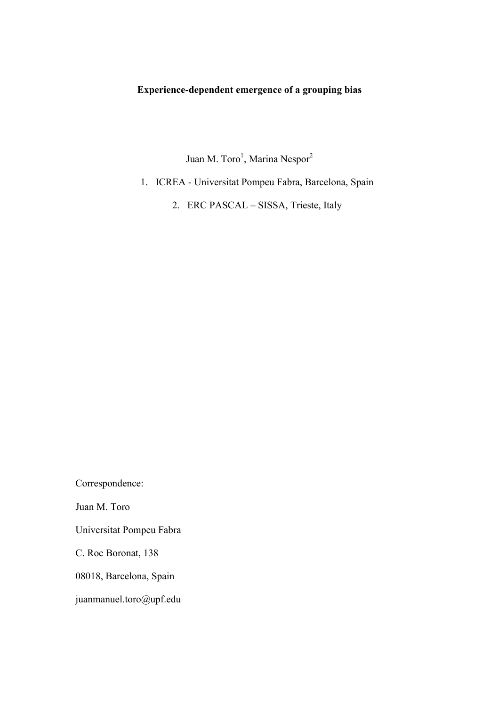# **Experience-dependent emergence of a grouping bias**

Juan M. Toro<sup>1</sup>, Marina Nespor<sup>2</sup>

- 1. ICREA Universitat Pompeu Fabra, Barcelona, Spain
	- 2. ERC PASCAL SISSA, Trieste, Italy

Correspondence: Juan M. Toro Universitat Pompeu Fabra C. Roc Boronat, 138 08018, Barcelona, Spain juanmanuel.toro@upf.edu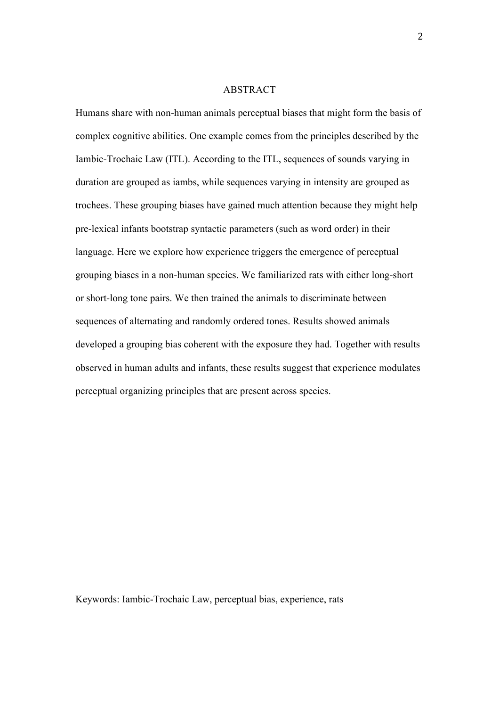#### **ABSTRACT**

Humans share with non-human animals perceptual biases that might form the basis of complex cognitive abilities. One example comes from the principles described by the Iambic-Trochaic Law (ITL). According to the ITL, sequences of sounds varying in duration are grouped as iambs, while sequences varying in intensity are grouped as trochees. These grouping biases have gained much attention because they might help pre-lexical infants bootstrap syntactic parameters (such as word order) in their language. Here we explore how experience triggers the emergence of perceptual grouping biases in a non-human species. We familiarized rats with either long-short or short-long tone pairs. We then trained the animals to discriminate between sequences of alternating and randomly ordered tones. Results showed animals developed a grouping bias coherent with the exposure they had. Together with results observed in human adults and infants, these results suggest that experience modulates perceptual organizing principles that are present across species.

Keywords: Iambic-Trochaic Law, perceptual bias, experience, rats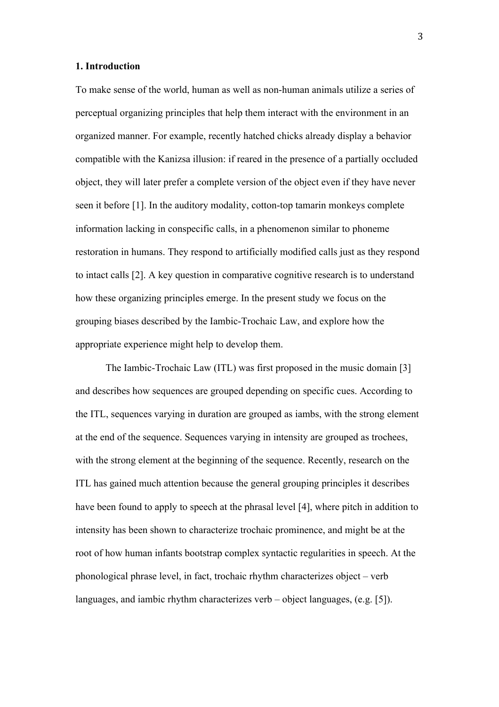#### **1. Introduction**

To make sense of the world, human as well as non-human animals utilize a series of perceptual organizing principles that help them interact with the environment in an organized manner. For example, recently hatched chicks already display a behavior compatible with the Kanizsa illusion: if reared in the presence of a partially occluded object, they will later prefer a complete version of the object even if they have never seen it before [1]. In the auditory modality, cotton-top tamarin monkeys complete information lacking in conspecific calls, in a phenomenon similar to phoneme restoration in humans. They respond to artificially modified calls just as they respond to intact calls [2]. A key question in comparative cognitive research is to understand how these organizing principles emerge. In the present study we focus on the grouping biases described by the Iambic-Trochaic Law, and explore how the appropriate experience might help to develop them.

The Iambic-Trochaic Law (ITL) was first proposed in the music domain [3] and describes how sequences are grouped depending on specific cues. According to the ITL, sequences varying in duration are grouped as iambs, with the strong element at the end of the sequence. Sequences varying in intensity are grouped as trochees, with the strong element at the beginning of the sequence. Recently, research on the ITL has gained much attention because the general grouping principles it describes have been found to apply to speech at the phrasal level [4], where pitch in addition to intensity has been shown to characterize trochaic prominence, and might be at the root of how human infants bootstrap complex syntactic regularities in speech. At the phonological phrase level, in fact, trochaic rhythm characterizes object – verb languages, and iambic rhythm characterizes verb – object languages, (e.g. [5]).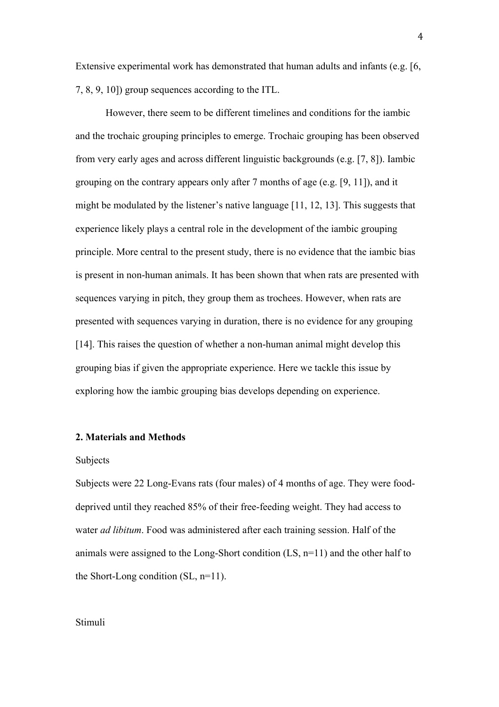Extensive experimental work has demonstrated that human adults and infants (e.g. [6, 7, 8, 9, 10]) group sequences according to the ITL.

However, there seem to be different timelines and conditions for the iambic and the trochaic grouping principles to emerge. Trochaic grouping has been observed from very early ages and across different linguistic backgrounds (e.g. [7, 8]). Iambic grouping on the contrary appears only after 7 months of age (e.g. [9, 11]), and it might be modulated by the listener's native language [11, 12, 13]. This suggests that experience likely plays a central role in the development of the iambic grouping principle. More central to the present study, there is no evidence that the iambic bias is present in non-human animals. It has been shown that when rats are presented with sequences varying in pitch, they group them as trochees. However, when rats are presented with sequences varying in duration, there is no evidence for any grouping [14]. This raises the question of whether a non-human animal might develop this grouping bias if given the appropriate experience. Here we tackle this issue by exploring how the iambic grouping bias develops depending on experience.

## **2. Materials and Methods**

#### Subjects

Subjects were 22 Long-Evans rats (four males) of 4 months of age. They were fooddeprived until they reached 85% of their free-feeding weight. They had access to water *ad libitum*. Food was administered after each training session. Half of the animals were assigned to the Long-Short condition (LS, n=11) and the other half to the Short-Long condition (SL, n=11).

### Stimuli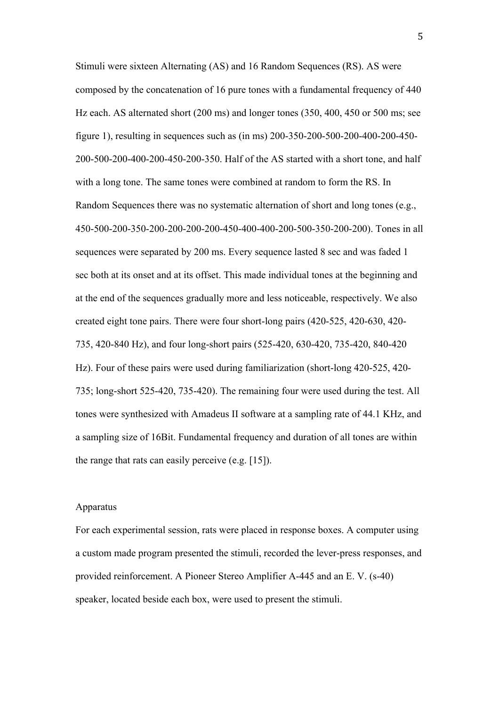Stimuli were sixteen Alternating (AS) and 16 Random Sequences (RS). AS were composed by the concatenation of 16 pure tones with a fundamental frequency of 440 Hz each. AS alternated short (200 ms) and longer tones (350, 400, 450 or 500 ms; see figure 1), resulting in sequences such as (in ms) 200-350-200-500-200-400-200-450- 200-500-200-400-200-450-200-350. Half of the AS started with a short tone, and half with a long tone. The same tones were combined at random to form the RS. In Random Sequences there was no systematic alternation of short and long tones (e.g., 450-500-200-350-200-200-200-200-450-400-400-200-500-350-200-200). Tones in all sequences were separated by 200 ms. Every sequence lasted 8 sec and was faded 1 sec both at its onset and at its offset. This made individual tones at the beginning and at the end of the sequences gradually more and less noticeable, respectively. We also created eight tone pairs. There were four short-long pairs (420-525, 420-630, 420- 735, 420-840 Hz), and four long-short pairs (525-420, 630-420, 735-420, 840-420 Hz). Four of these pairs were used during familiarization (short-long 420-525, 420- 735; long-short 525-420, 735-420). The remaining four were used during the test. All tones were synthesized with Amadeus II software at a sampling rate of 44.1 KHz, and a sampling size of 16Bit. Fundamental frequency and duration of all tones are within the range that rats can easily perceive (e.g. [15]).

#### Apparatus

For each experimental session, rats were placed in response boxes. A computer using a custom made program presented the stimuli, recorded the lever-press responses, and provided reinforcement. A Pioneer Stereo Amplifier A-445 and an E. V. (s-40) speaker, located beside each box, were used to present the stimuli.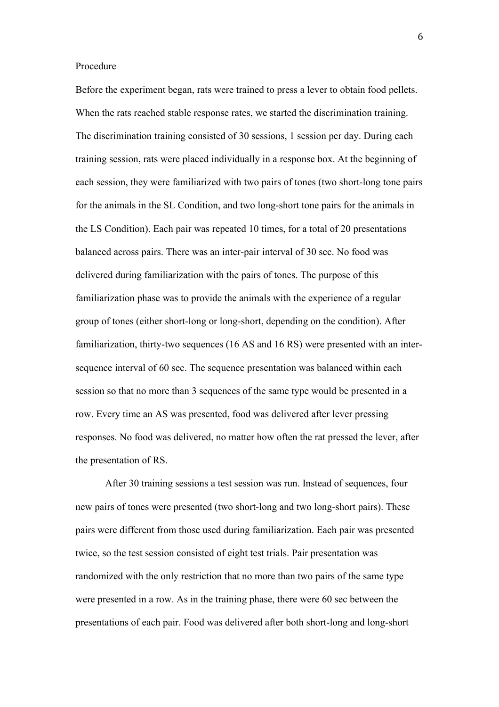#### Procedure

Before the experiment began, rats were trained to press a lever to obtain food pellets. When the rats reached stable response rates, we started the discrimination training. The discrimination training consisted of 30 sessions, 1 session per day. During each training session, rats were placed individually in a response box. At the beginning of each session, they were familiarized with two pairs of tones (two short-long tone pairs for the animals in the SL Condition, and two long-short tone pairs for the animals in the LS Condition). Each pair was repeated 10 times, for a total of 20 presentations balanced across pairs. There was an inter-pair interval of 30 sec. No food was delivered during familiarization with the pairs of tones. The purpose of this familiarization phase was to provide the animals with the experience of a regular group of tones (either short-long or long-short, depending on the condition). After familiarization, thirty-two sequences (16 AS and 16 RS) were presented with an intersequence interval of 60 sec. The sequence presentation was balanced within each session so that no more than 3 sequences of the same type would be presented in a row. Every time an AS was presented, food was delivered after lever pressing responses. No food was delivered, no matter how often the rat pressed the lever, after the presentation of RS.

After 30 training sessions a test session was run. Instead of sequences, four new pairs of tones were presented (two short-long and two long-short pairs). These pairs were different from those used during familiarization. Each pair was presented twice, so the test session consisted of eight test trials. Pair presentation was randomized with the only restriction that no more than two pairs of the same type were presented in a row. As in the training phase, there were 60 sec between the presentations of each pair. Food was delivered after both short-long and long-short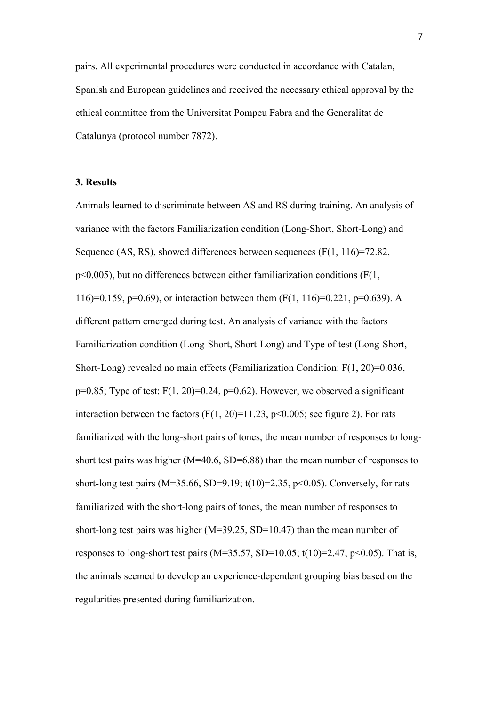pairs. All experimental procedures were conducted in accordance with Catalan, Spanish and European guidelines and received the necessary ethical approval by the ethical committee from the Universitat Pompeu Fabra and the Generalitat de Catalunya (protocol number 7872).

### **3. Results**

Animals learned to discriminate between AS and RS during training. An analysis of variance with the factors Familiarization condition (Long-Short, Short-Long) and Sequence (AS, RS), showed differences between sequences (F(1, 116)=72.82, p<0.005), but no differences between either familiarization conditions (F(1, 116)=0.159, p=0.69), or interaction between them (F(1, 116)=0.221, p=0.639). A different pattern emerged during test. An analysis of variance with the factors Familiarization condition (Long-Short, Short-Long) and Type of test (Long-Short, Short-Long) revealed no main effects (Familiarization Condition: F(1, 20)=0.036,  $p=0.85$ ; Type of test: F(1, 20)=0.24,  $p=0.62$ ). However, we observed a significant interaction between the factors  $(F(1, 20)=11.23, p<0.005)$ ; see figure 2). For rats familiarized with the long-short pairs of tones, the mean number of responses to longshort test pairs was higher (M=40.6, SD=6.88) than the mean number of responses to short-long test pairs (M=35.66, SD=9.19;  $t(10)=2.35$ ,  $p<0.05$ ). Conversely, for rats familiarized with the short-long pairs of tones, the mean number of responses to short-long test pairs was higher (M=39.25, SD=10.47) than the mean number of responses to long-short test pairs (M=35.57, SD=10.05; t(10)=2.47, p<0.05). That is, the animals seemed to develop an experience-dependent grouping bias based on the regularities presented during familiarization.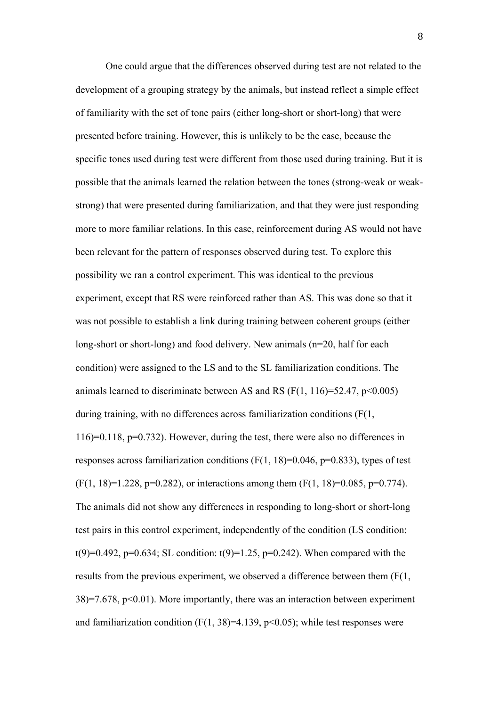One could argue that the differences observed during test are not related to the development of a grouping strategy by the animals, but instead reflect a simple effect of familiarity with the set of tone pairs (either long-short or short-long) that were presented before training. However, this is unlikely to be the case, because the specific tones used during test were different from those used during training. But it is possible that the animals learned the relation between the tones (strong-weak or weakstrong) that were presented during familiarization, and that they were just responding more to more familiar relations. In this case, reinforcement during AS would not have been relevant for the pattern of responses observed during test. To explore this possibility we ran a control experiment. This was identical to the previous experiment, except that RS were reinforced rather than AS. This was done so that it was not possible to establish a link during training between coherent groups (either long-short or short-long) and food delivery. New animals (n=20, half for each condition) were assigned to the LS and to the SL familiarization conditions. The animals learned to discriminate between AS and RS  $(F(1, 116)=52.47, p<0.005)$ during training, with no differences across familiarization conditions (F(1, 116)=0.118, p=0.732). However, during the test, there were also no differences in responses across familiarization conditions  $(F(1, 18)=0.046, p=0.833)$ , types of test  $(F(1, 18)=1.228, p=0.282)$ , or interactions among them  $(F(1, 18)=0.085, p=0.774)$ . The animals did not show any differences in responding to long-short or short-long test pairs in this control experiment, independently of the condition (LS condition: t(9)=0.492, p=0.634; SL condition:  $t(9)=1.25$ , p=0.242). When compared with the results from the previous experiment, we observed a difference between them (F(1, 38)=7.678, p<0.01). More importantly, there was an interaction between experiment and familiarization condition  $(F(1, 38)=4.139, p<0.05)$ ; while test responses were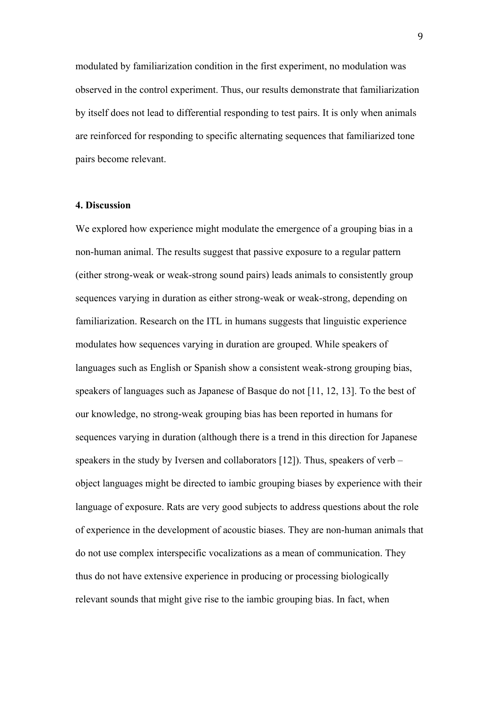modulated by familiarization condition in the first experiment, no modulation was observed in the control experiment. Thus, our results demonstrate that familiarization by itself does not lead to differential responding to test pairs. It is only when animals are reinforced for responding to specific alternating sequences that familiarized tone pairs become relevant.

#### **4. Discussion**

We explored how experience might modulate the emergence of a grouping bias in a non-human animal. The results suggest that passive exposure to a regular pattern (either strong-weak or weak-strong sound pairs) leads animals to consistently group sequences varying in duration as either strong-weak or weak-strong, depending on familiarization. Research on the ITL in humans suggests that linguistic experience modulates how sequences varying in duration are grouped. While speakers of languages such as English or Spanish show a consistent weak-strong grouping bias, speakers of languages such as Japanese of Basque do not [11, 12, 13]. To the best of our knowledge, no strong-weak grouping bias has been reported in humans for sequences varying in duration (although there is a trend in this direction for Japanese speakers in the study by Iversen and collaborators [12]). Thus, speakers of verb – object languages might be directed to iambic grouping biases by experience with their language of exposure. Rats are very good subjects to address questions about the role of experience in the development of acoustic biases. They are non-human animals that do not use complex interspecific vocalizations as a mean of communication. They thus do not have extensive experience in producing or processing biologically relevant sounds that might give rise to the iambic grouping bias. In fact, when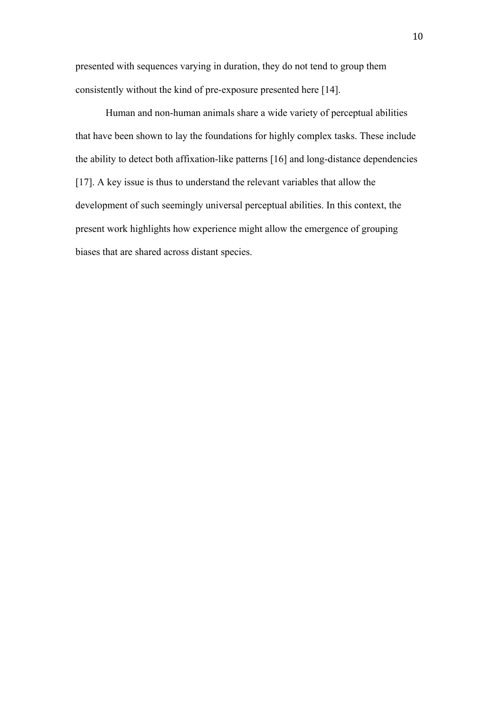presented with sequences varying in duration, they do not tend to group them consistently without the kind of pre-exposure presented here [14].

Human and non-human animals share a wide variety of perceptual abilities that have been shown to lay the foundations for highly complex tasks. These include the ability to detect both affixation-like patterns [16] and long-distance dependencies [17]. A key issue is thus to understand the relevant variables that allow the development of such seemingly universal perceptual abilities. In this context, the present work highlights how experience might allow the emergence of grouping biases that are shared across distant species.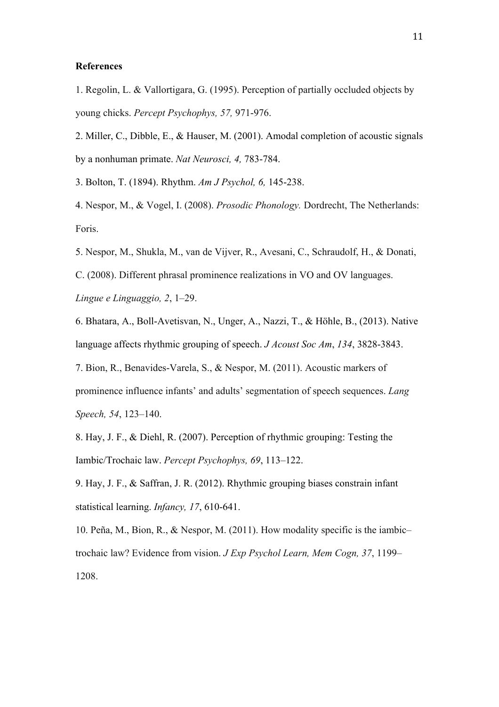#### **References**

1. Regolin, L. & Vallortigara, G. (1995). Perception of partially occluded objects by young chicks. *Percept Psychophys, 57,* 971-976.

2. Miller, C., Dibble, E., & Hauser, M. (2001). Amodal completion of acoustic signals by a nonhuman primate. *Nat Neurosci, 4,* 783-784.

3. Bolton, T. (1894). Rhythm. *Am J Psychol, 6,* 145-238.

4. Nespor, M., & Vogel, I. (2008). *Prosodic Phonology.* Dordrecht, The Netherlands: Foris.

5. Nespor, M., Shukla, M., van de Vijver, R., Avesani, C., Schraudolf, H., & Donati,

C. (2008). Different phrasal prominence realizations in VO and OV languages.

*Lingue e Linguaggio, 2*, 1–29.

6. Bhatara, A., Boll-Avetisvan, N., Unger, A., Nazzi, T., & Höhle, B., (2013). Native language affects rhythmic grouping of speech. *J Acoust Soc Am*, *134*, 3828-3843.

7. Bion, R., Benavides-Varela, S., & Nespor, M. (2011). Acoustic markers of prominence influence infants' and adults' segmentation of speech sequences. *Lang Speech, 54*, 123–140.

8. Hay, J. F., & Diehl, R. (2007). Perception of rhythmic grouping: Testing the Iambic/Trochaic law. *Percept Psychophys, 69*, 113–122.

9. Hay, J. F., & Saffran, J. R. (2012). Rhythmic grouping biases constrain infant statistical learning. *Infancy, 17*, 610-641.

10. Peña, M., Bion, R., & Nespor, M. (2011). How modality specific is the iambic– trochaic law? Evidence from vision. *J Exp Psychol Learn, Mem Cogn, 37*, 1199– 1208.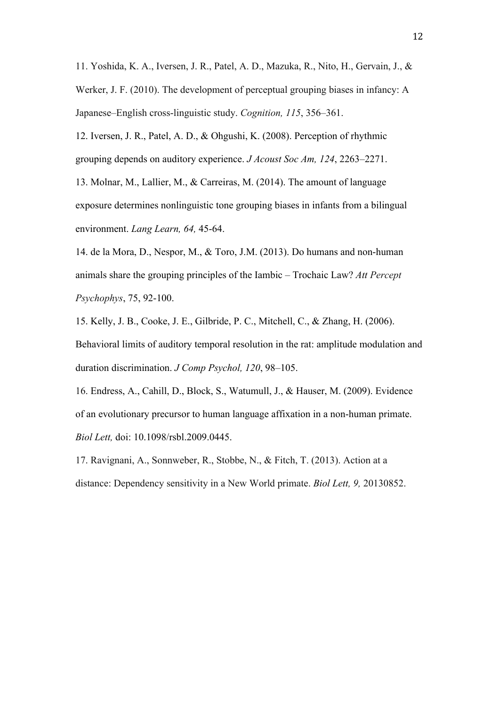11. Yoshida, K. A., Iversen, J. R., Patel, A. D., Mazuka, R., Nito, H., Gervain, J., & Werker, J. F. (2010). The development of perceptual grouping biases in infancy: A Japanese–English cross-linguistic study. *Cognition, 115*, 356–361.

12. Iversen, J. R., Patel, A. D., & Ohgushi, K. (2008). Perception of rhythmic grouping depends on auditory experience. *J Acoust Soc Am, 124*, 2263–2271.

13. Molnar, M., Lallier, M., & Carreiras, M. (2014). The amount of language exposure determines nonlinguistic tone grouping biases in infants from a bilingual environment. *Lang Learn, 64,* 45-64.

14. de la Mora, D., Nespor, M., & Toro, J.M. (2013). Do humans and non-human animals share the grouping principles of the Iambic – Trochaic Law? *Att Percept Psychophys*, 75, 92-100.

15. Kelly, J. B., Cooke, J. E., Gilbride, P. C., Mitchell, C., & Zhang, H. (2006). Behavioral limits of auditory temporal resolution in the rat: amplitude modulation and duration discrimination. *J Comp Psychol, 120*, 98–105.

16. Endress, A., Cahill, D., Block, S., Watumull, J., & Hauser, M. (2009). Evidence of an evolutionary precursor to human language affixation in a non-human primate. *Biol Lett,* doi: 10.1098/rsbl.2009.0445.

17. Ravignani, A., Sonnweber, R., Stobbe, N., & Fitch, T. (2013). Action at a distance: Dependency sensitivity in a New World primate. *Biol Lett, 9,* 20130852.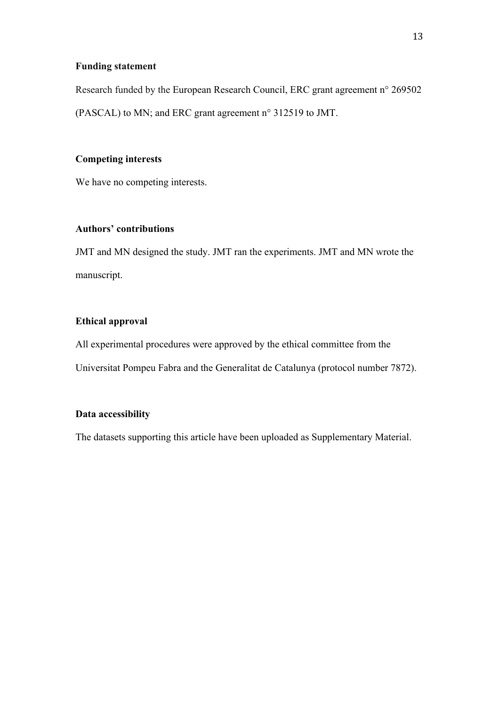## **Funding statement**

Research funded by the European Research Council, ERC grant agreement n° 269502 (PASCAL) to MN; and ERC grant agreement n° 312519 to JMT.

## **Competing interests**

We have no competing interests.

## **Authors' contributions**

JMT and MN designed the study. JMT ran the experiments. JMT and MN wrote the manuscript.

# **Ethical approval**

All experimental procedures were approved by the ethical committee from the Universitat Pompeu Fabra and the Generalitat de Catalunya (protocol number 7872).

## **Data accessibility**

The datasets supporting this article have been uploaded as Supplementary Material.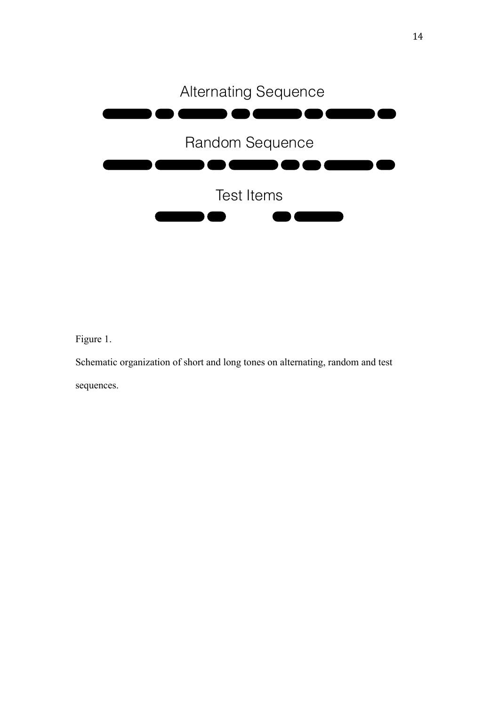

Figure 1.

Schematic organization of short and long tones on alternating, random and test sequences.